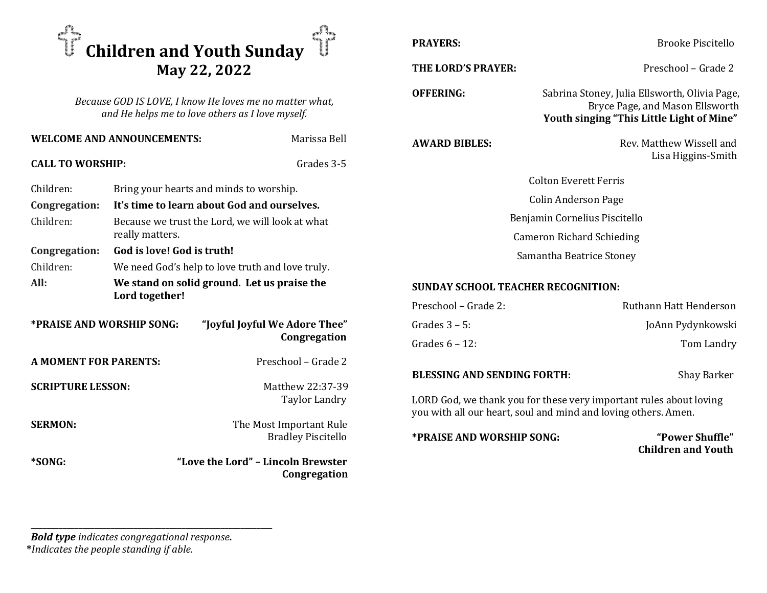

Because GOD IS LOVE, I know He loves me no matter what, and He helps me to love others as I love myself.

| <b>WELCOME AND ANNOUNCEMENTS:</b> |                                                                    | Marissa Bell                                         | <b>AW</b>  |
|-----------------------------------|--------------------------------------------------------------------|------------------------------------------------------|------------|
| <b>CALL TO WORSHIP:</b>           |                                                                    | Grades 3-5                                           |            |
| Children:                         |                                                                    | Bring your hearts and minds to worship.              |            |
| Congregation:                     | It's time to learn about God and ourselves.                        |                                                      |            |
| Children:                         | Because we trust the Lord, we will look at what<br>really matters. |                                                      |            |
| Congregation:                     | God is love! God is truth!                                         |                                                      |            |
| Children:                         | We need God's help to love truth and love truly.                   |                                                      |            |
| All:                              | We stand on solid ground. Let us praise the<br>Lord together!      |                                                      | <b>SUN</b> |
|                                   |                                                                    |                                                      | Pres       |
| *PRAISE AND WORSHIP SONG:         |                                                                    | "Joyful Joyful We Adore Thee"                        | Gra        |
|                                   |                                                                    | Congregation                                         | Gra        |
| <b>A MOMENT FOR PARENTS:</b>      |                                                                    | Preschool - Grade 2                                  |            |
|                                   |                                                                    |                                                      | <b>BLE</b> |
| <b>SCRIPTURE LESSON:</b>          |                                                                    | Matthew 22:37-39                                     |            |
|                                   |                                                                    | Taylor Landry                                        | LOR        |
|                                   |                                                                    |                                                      | you        |
| <b>SERMON:</b>                    |                                                                    | The Most Important Rule<br><b>Bradley Piscitello</b> | *PR        |
| *SONG:                            |                                                                    | "Love the Lord" - Lincoln Brewster                   |            |
|                                   |                                                                    | Congregation                                         |            |

PRAYERS: Brooke Piscitello

THE LORD'S PRAYER: Preschool – Grade 2

OFFERING: Sabrina Stoney, Julia Ellsworth, Olivia Page,

Youth singing "This Little Light of Mine"

ARD BIBLES: Rev. Matthew Wissell and Lisa Higgins-Smith

Bryce Page, and Mason Ellsworth

 Colton Everett Ferris Colin Anderson Page Benjamin Cornelius Piscitello Cameron Richard Schieding Samantha Beatrice Stoney

## **NDAY SCHOOL TEACHER RECOGNITION:**

| Preschool – Grade 2: | Ruthann Hatt Henderson |
|----------------------|------------------------|
| Grades 3 – 5:        | JoAnn Pydynkowski      |
| Grades 6 – 12:       | Tom Landry             |

ESSING AND SENDING FORTH: Shay Barker

RD God, we thank you for these very important rules about loving with all our heart, soul and mind and loving others. Amen.

AISE AND WORSHIP SONG: "Power Shuffle"

Children and Youth

Bold type indicates congregational response.

\_\_\_\_\_\_\_\_\_\_\_\_\_\_\_\_\_\_\_\_\_\_\_\_\_\_\_\_\_\_\_\_\_\_\_\_\_\_\_\_\_\_\_\_\_\_\_\_\_\_\_\_\_\_\_\_\_\_\_\_\_

\*Indicates the people standing if able.